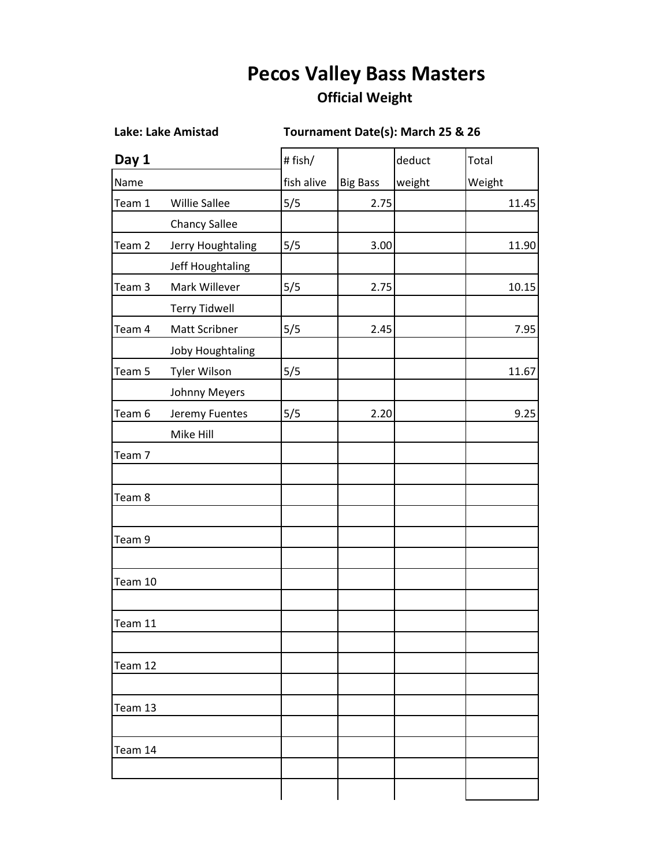## **Pecos Valley Bass Masters**

## **Official Weight**

**Lake: Lake Amistad Tournament Date(s): March 25 & 26** 

| Day 1   |                      | # fish/    |                 | deduct | Total  |
|---------|----------------------|------------|-----------------|--------|--------|
| Name    |                      | fish alive | <b>Big Bass</b> | weight | Weight |
| Team 1  | <b>Willie Sallee</b> | 5/5        | 2.75            |        | 11.45  |
|         | <b>Chancy Sallee</b> |            |                 |        |        |
| Team 2  | Jerry Houghtaling    | 5/5        | 3.00            |        | 11.90  |
|         | Jeff Houghtaling     |            |                 |        |        |
| Team 3  | Mark Willever        | 5/5        | 2.75            |        | 10.15  |
|         | <b>Terry Tidwell</b> |            |                 |        |        |
| Team 4  | Matt Scribner        | 5/5        | 2.45            |        | 7.95   |
|         | Joby Houghtaling     |            |                 |        |        |
| Team 5  | Tyler Wilson         | 5/5        |                 |        | 11.67  |
|         | Johnny Meyers        |            |                 |        |        |
| Team 6  | Jeremy Fuentes       | 5/5        | 2.20            |        | 9.25   |
|         | Mike Hill            |            |                 |        |        |
| Team 7  |                      |            |                 |        |        |
|         |                      |            |                 |        |        |
| Team 8  |                      |            |                 |        |        |
|         |                      |            |                 |        |        |
| Team 9  |                      |            |                 |        |        |
|         |                      |            |                 |        |        |
| Team 10 |                      |            |                 |        |        |
|         |                      |            |                 |        |        |
| Team 11 |                      |            |                 |        |        |
|         |                      |            |                 |        |        |
| Team 12 |                      |            |                 |        |        |
|         |                      |            |                 |        |        |
| Team 13 |                      |            |                 |        |        |
|         |                      |            |                 |        |        |
| Team 14 |                      |            |                 |        |        |
|         |                      |            |                 |        |        |
|         |                      |            |                 |        |        |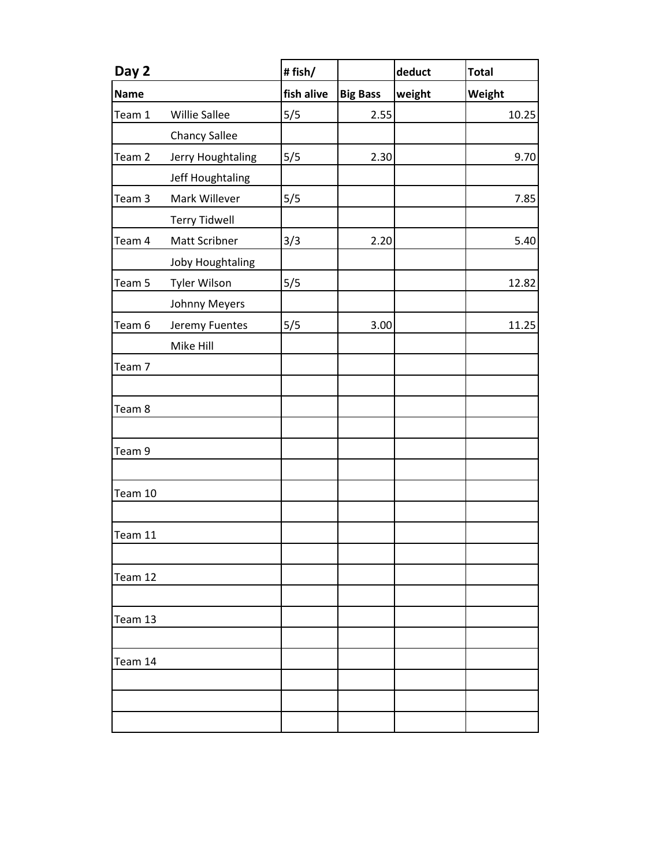| Day 2       |                      | #fish/     |                 | deduct | <b>Total</b> |
|-------------|----------------------|------------|-----------------|--------|--------------|
| <b>Name</b> |                      | fish alive | <b>Big Bass</b> | weight | Weight       |
| Team 1      | <b>Willie Sallee</b> | 5/5        | 2.55            |        | 10.25        |
|             | <b>Chancy Sallee</b> |            |                 |        |              |
| Team 2      | Jerry Houghtaling    | 5/5        | 2.30            |        | 9.70         |
|             | Jeff Houghtaling     |            |                 |        |              |
| Team 3      | Mark Willever        | 5/5        |                 |        | 7.85         |
|             | <b>Terry Tidwell</b> |            |                 |        |              |
| Team 4      | Matt Scribner        | 3/3        | 2.20            |        | 5.40         |
|             | Joby Houghtaling     |            |                 |        |              |
| Team 5      | <b>Tyler Wilson</b>  | 5/5        |                 |        | 12.82        |
|             | Johnny Meyers        |            |                 |        |              |
| Team 6      | Jeremy Fuentes       | 5/5        | 3.00            |        | 11.25        |
|             | Mike Hill            |            |                 |        |              |
| Team 7      |                      |            |                 |        |              |
|             |                      |            |                 |        |              |
| Team 8      |                      |            |                 |        |              |
|             |                      |            |                 |        |              |
| Team 9      |                      |            |                 |        |              |
|             |                      |            |                 |        |              |
| Team 10     |                      |            |                 |        |              |
|             |                      |            |                 |        |              |
| Team 11     |                      |            |                 |        |              |
|             |                      |            |                 |        |              |
| Team 12     |                      |            |                 |        |              |
|             |                      |            |                 |        |              |
| Team 13     |                      |            |                 |        |              |
|             |                      |            |                 |        |              |
| Team 14     |                      |            |                 |        |              |
|             |                      |            |                 |        |              |
|             |                      |            |                 |        |              |
|             |                      |            |                 |        |              |